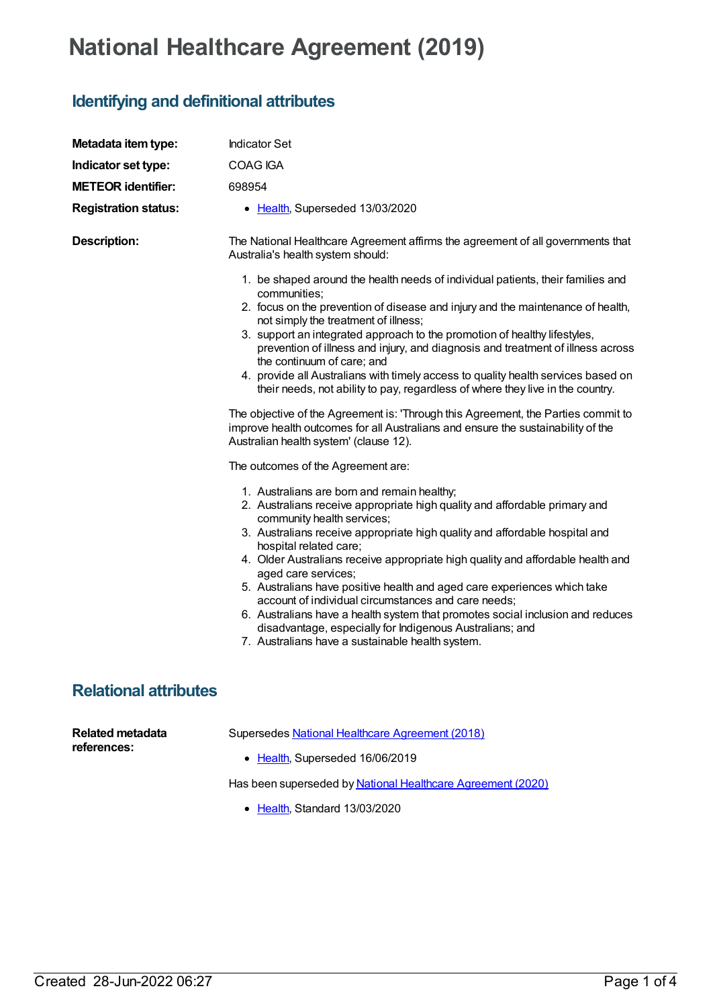## **National Healthcare Agreement (2019)**

## **Identifying and definitional attributes**

| Metadata item type:                    | <b>Indicator Set</b>                                                                                                                                                                                                                                                                                                                                                                                                                                                                                                                                                                                                                                                                                            |
|----------------------------------------|-----------------------------------------------------------------------------------------------------------------------------------------------------------------------------------------------------------------------------------------------------------------------------------------------------------------------------------------------------------------------------------------------------------------------------------------------------------------------------------------------------------------------------------------------------------------------------------------------------------------------------------------------------------------------------------------------------------------|
| Indicator set type:                    | COAG IGA                                                                                                                                                                                                                                                                                                                                                                                                                                                                                                                                                                                                                                                                                                        |
| <b>METEOR identifier:</b>              | 698954                                                                                                                                                                                                                                                                                                                                                                                                                                                                                                                                                                                                                                                                                                          |
| <b>Registration status:</b>            | • Health, Superseded 13/03/2020                                                                                                                                                                                                                                                                                                                                                                                                                                                                                                                                                                                                                                                                                 |
| <b>Description:</b>                    | The National Healthcare Agreement affirms the agreement of all governments that<br>Australia's health system should:                                                                                                                                                                                                                                                                                                                                                                                                                                                                                                                                                                                            |
|                                        | 1. be shaped around the health needs of individual patients, their families and<br>communities;<br>2. focus on the prevention of disease and injury and the maintenance of health,<br>not simply the treatment of illness;<br>3. support an integrated approach to the promotion of healthy lifestyles,<br>prevention of illness and injury, and diagnosis and treatment of illness across<br>the continuum of care; and<br>4. provide all Australians with timely access to quality health services based on<br>their needs, not ability to pay, regardless of where they live in the country.                                                                                                                 |
|                                        | The objective of the Agreement is: 'Through this Agreement, the Parties commit to<br>improve health outcomes for all Australians and ensure the sustainability of the<br>Australian health system' (clause 12).                                                                                                                                                                                                                                                                                                                                                                                                                                                                                                 |
|                                        | The outcomes of the Agreement are:                                                                                                                                                                                                                                                                                                                                                                                                                                                                                                                                                                                                                                                                              |
|                                        | 1. Australians are born and remain healthy;<br>2. Australians receive appropriate high quality and affordable primary and<br>community health services;<br>3. Australians receive appropriate high quality and affordable hospital and<br>hospital related care;<br>4. Older Australians receive appropriate high quality and affordable health and<br>aged care services;<br>5. Australians have positive health and aged care experiences which take<br>account of individual circumstances and care needs;<br>6. Australians have a health system that promotes social inclusion and reduces<br>disadvantage, especially for Indigenous Australians; and<br>7. Australians have a sustainable health system. |
| <b>Relational attributes</b>           |                                                                                                                                                                                                                                                                                                                                                                                                                                                                                                                                                                                                                                                                                                                 |
| <b>Related metadata</b><br>references: | Supersedes National Healthcare Agreement (2018)<br>• Health, Superseded 16/06/2019                                                                                                                                                                                                                                                                                                                                                                                                                                                                                                                                                                                                                              |

Has been superseded by National Healthcare [Agreement](https://meteor.aihw.gov.au/content/716246) (2020)

• [Health](https://meteor.aihw.gov.au/RegistrationAuthority/12), Standard 13/03/2020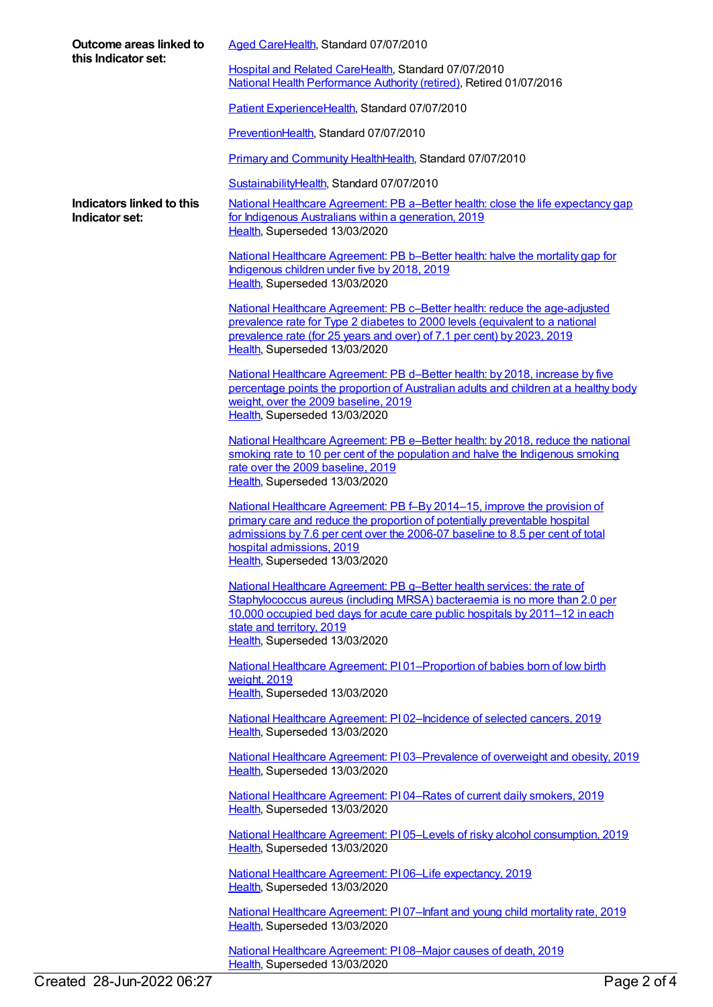| Outcome areas linked to<br>this Indicator set: | Aged CareHealth, Standard 07/07/2010                                                                                                                                                                                                                                                                  |
|------------------------------------------------|-------------------------------------------------------------------------------------------------------------------------------------------------------------------------------------------------------------------------------------------------------------------------------------------------------|
|                                                | Hospital and Related CareHealth, Standard 07/07/2010<br>National Health Performance Authority (retired), Retired 01/07/2016                                                                                                                                                                           |
|                                                | Patient ExperienceHealth, Standard 07/07/2010                                                                                                                                                                                                                                                         |
|                                                | PreventionHealth, Standard 07/07/2010                                                                                                                                                                                                                                                                 |
|                                                | Primary and Community HealthHealth, Standard 07/07/2010                                                                                                                                                                                                                                               |
|                                                | SustainabilityHealth, Standard 07/07/2010                                                                                                                                                                                                                                                             |
| Indicators linked to this<br>Indicator set:    | National Healthcare Agreement: PB a-Better health: close the life expectancy gap<br>for Indigenous Australians within a generation, 2019<br>Health, Superseded 13/03/2020                                                                                                                             |
|                                                | National Healthcare Agreement: PB b-Better health: halve the mortality gap for<br>Indigenous children under five by 2018, 2019<br>Health, Superseded 13/03/2020                                                                                                                                       |
|                                                | National Healthcare Agreement: PB c-Better health: reduce the age-adjusted<br>prevalence rate for Type 2 diabetes to 2000 levels (equivalent to a national<br>prevalence rate (for 25 years and over) of 7.1 per cent) by 2023, 2019<br>Health, Superseded 13/03/2020                                 |
|                                                | National Healthcare Agreement: PB d-Better health: by 2018, increase by five<br>percentage points the proportion of Australian adults and children at a healthy body<br>weight, over the 2009 baseline, 2019<br>Health, Superseded 13/03/2020                                                         |
|                                                | National Healthcare Agreement: PB e-Better health: by 2018, reduce the national<br>smoking rate to 10 per cent of the population and halve the Indigenous smoking<br>rate over the 2009 baseline, 2019<br>Health, Superseded 13/03/2020                                                               |
|                                                | National Healthcare Agreement: PB f-By 2014-15, improve the provision of<br>primary care and reduce the proportion of potentially preventable hospital<br>admissions by 7.6 per cent over the 2006-07 baseline to 8.5 per cent of total<br>hospital admissions, 2019<br>Health, Superseded 13/03/2020 |
|                                                | National Healthcare Agreement: PB g-Better health services: the rate of<br>Staphylococcus aureus (including MRSA) bacteraemia is no more than 2.0 per<br>10,000 occupied bed days for acute care public hospitals by 2011-12 in each<br>state and territory, 2019<br>Health, Superseded 13/03/2020    |
|                                                | National Healthcare Agreement: P101-Proportion of babies born of low birth<br>weight, 2019<br>Health, Superseded 13/03/2020                                                                                                                                                                           |
|                                                | National Healthcare Agreement: PI02-Incidence of selected cancers, 2019<br>Health, Superseded 13/03/2020                                                                                                                                                                                              |
|                                                | National Healthcare Agreement: PI03-Prevalence of overweight and obesity, 2019<br>Health, Superseded 13/03/2020                                                                                                                                                                                       |
|                                                | National Healthcare Agreement: PI04-Rates of current daily smokers, 2019<br>Health, Superseded 13/03/2020                                                                                                                                                                                             |
|                                                | National Healthcare Agreement: PI05-Levels of risky alcohol consumption, 2019<br>Health, Superseded 13/03/2020                                                                                                                                                                                        |
|                                                | National Healthcare Agreement: PI06-Life expectancy, 2019<br>Health, Superseded 13/03/2020                                                                                                                                                                                                            |
|                                                | National Healthcare Agreement: PI07-Infant and young child mortality rate, 2019<br>Health, Superseded 13/03/2020                                                                                                                                                                                      |
|                                                | National Healthcare Agreement: PI08-Major causes of death, 2019<br>Health, Superseded 13/03/2020                                                                                                                                                                                                      |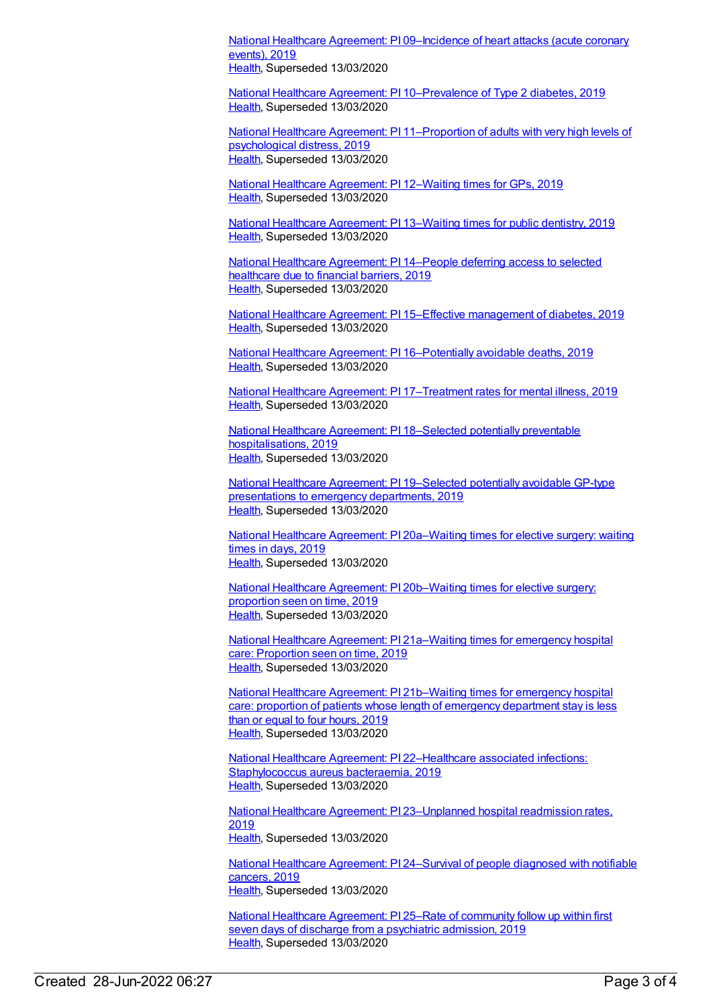National Healthcare Agreement: PI [09–Incidence](https://meteor.aihw.gov.au/content/698922) of heart attacks (acute coronary events), 2019 [Health](https://meteor.aihw.gov.au/RegistrationAuthority/12), Superseded 13/03/2020

National Healthcare Agreement: PI [10–Prevalence](https://meteor.aihw.gov.au/content/698920) of Type 2 diabetes, 2019 [Health](https://meteor.aihw.gov.au/RegistrationAuthority/12), Superseded 13/03/2020

National Healthcare Agreement: PI [11–Proportion](https://meteor.aihw.gov.au/content/698918) of adults with very high levels of psychological distress, 2019 [Health](https://meteor.aihw.gov.au/RegistrationAuthority/12), Superseded 13/03/2020

National Healthcare [Agreement:](https://meteor.aihw.gov.au/content/698916) PI 12–Waiting times for GPs, 2019 [Health](https://meteor.aihw.gov.au/RegistrationAuthority/12), Superseded 13/03/2020

National Healthcare [Agreement:](https://meteor.aihw.gov.au/content/698914) PI 13–Waiting times for public dentistry, 2019 [Health](https://meteor.aihw.gov.au/RegistrationAuthority/12), Superseded 13/03/2020

National Healthcare [Agreement:](https://meteor.aihw.gov.au/content/698912) PI 14–People deferring access to selected healthcare due to financial barriers, 2019 [Health](https://meteor.aihw.gov.au/RegistrationAuthority/12), Superseded 13/03/2020

National Healthcare Agreement: PI 15–Effective [management](https://meteor.aihw.gov.au/content/698910) of diabetes, 2019 [Health](https://meteor.aihw.gov.au/RegistrationAuthority/12), Superseded 13/03/2020

National Healthcare Agreement: PI [16–Potentially](https://meteor.aihw.gov.au/content/698908) avoidable deaths, 2019 [Health](https://meteor.aihw.gov.au/RegistrationAuthority/12), Superseded 13/03/2020

National Healthcare Agreement: PI [17–Treatment](https://meteor.aihw.gov.au/content/698906) rates for mental illness, 2019 [Health](https://meteor.aihw.gov.au/RegistrationAuthority/12), Superseded 13/03/2020

National Healthcare Agreement: PI 18–Selected potentially preventable [hospitalisations,](https://meteor.aihw.gov.au/content/698904) 2019 [Health](https://meteor.aihw.gov.au/RegistrationAuthority/12), Superseded 13/03/2020

National Healthcare Agreement: PI [19–Selected](https://meteor.aihw.gov.au/content/698902) potentially avoidable GP-type presentations to emergency departments, 2019 [Health](https://meteor.aihw.gov.au/RegistrationAuthority/12), Superseded 13/03/2020

National Healthcare Agreement: PI [20a–Waiting](https://meteor.aihw.gov.au/content/698999) times for elective surgery: waiting times in days, 2019 [Health](https://meteor.aihw.gov.au/RegistrationAuthority/12), Superseded 13/03/2020

National Healthcare Agreement: PI [20b–Waiting](https://meteor.aihw.gov.au/content/698900) times for elective surgery: proportion seen on time, 2019 [Health](https://meteor.aihw.gov.au/RegistrationAuthority/12), Superseded 13/03/2020

National Healthcare Agreement: PI [21a–Waiting](https://meteor.aihw.gov.au/content/698898) times for emergency hospital care: Proportion seen on time, 2019 [Health](https://meteor.aihw.gov.au/RegistrationAuthority/12), Superseded 13/03/2020

National Healthcare Agreement: PI [21b–Waiting](https://meteor.aihw.gov.au/content/698895) times for emergency hospital care: proportion of patients whose length of emergency department stay is less than or equal to four hours, 2019 [Health](https://meteor.aihw.gov.au/RegistrationAuthority/12), Superseded 13/03/2020

National Healthcare Agreement: PI [22–Healthcare](https://meteor.aihw.gov.au/content/698892) associated infections: Staphylococcus aureus bacteraemia, 2019 [Health](https://meteor.aihw.gov.au/RegistrationAuthority/12), Superseded 13/03/2020

National Healthcare Agreement: PI [23–Unplanned](https://meteor.aihw.gov.au/content/698890) hospital readmission rates, 2019 [Health](https://meteor.aihw.gov.au/RegistrationAuthority/12), Superseded 13/03/2020

National Healthcare Agreement: PI [24–Survival](https://meteor.aihw.gov.au/content/698888) of people diagnosed with notifiable cancers, 2019 [Health](https://meteor.aihw.gov.au/RegistrationAuthority/12), Superseded 13/03/2020

National Healthcare [Agreement:](https://meteor.aihw.gov.au/content/698886) PI 25–Rate of community follow up within first seven days of discharge from a psychiatric admission, 2019 [Health](https://meteor.aihw.gov.au/RegistrationAuthority/12), Superseded 13/03/2020